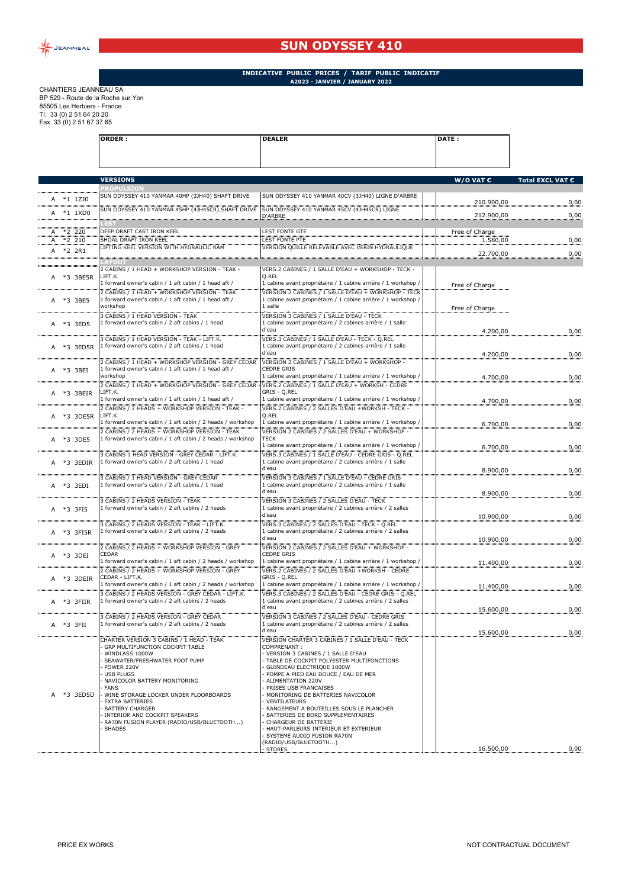

## **SUN ODYSSEY 410**

**ORDER : DEALER DATE :**

## **INDICATIVE PUBLIC PRICES / TARIF PUBLIC INDICATIF A2023 - JANVIER / JANUARY 2022**

CHANTIERS JEANNEAU SA BP 529 - Route de la Roche sur Yon 85505 Les Herbiers - France Tl. 33 (0) 2 51 64 20 20 Fax. 33 (0) 2 51 67 37 65

|                                             | <b>VERSIONS</b>                                                                                                 |                                                                                                                       | $W/O$ VAT $C$  | Total EXCL VAT € |
|---------------------------------------------|-----------------------------------------------------------------------------------------------------------------|-----------------------------------------------------------------------------------------------------------------------|----------------|------------------|
|                                             | <b>ROPULSION</b>                                                                                                |                                                                                                                       |                |                  |
| A *1 1710                                   | SUN ODYSSEY 410 YANMAR 40HP (3JH40) SHAFT DRIVE                                                                 | SUN ODYSSEY 410 YANMAR 40CV (3JH40) LIGNE D'ARBRE                                                                     | 210.900,00     | 0,00             |
| ,,,,,,,,,,,,,,,,,,,,,,,,,,,,,,<br>A *1 1XD0 | SUN ODYSSEY 410 YANMAR 45HP (4JH45CR) SHAFT DRIVE                                                               | SUN ODYSSEY 410 YANMAR 45CV (4JH45CR) LIGNE                                                                           |                |                  |
|                                             |                                                                                                                 | D'ARBRE                                                                                                               | 212.900,00     | 0,00             |
| $A *2 220$                                  | DEEP DRAFT CAST IRON KEEL                                                                                       | <b>LEST FONTE GTE</b>                                                                                                 | Free of Charge |                  |
| $A *2 210$                                  | SHOAL DRAFT IRON KEEL<br>LIFTING KEEL VERSION WITH HYDRAULIC RAM                                                | <b>LEST FONTE PTE</b><br>VERSION QUILLE RELEVABLE AVEC VERIN HYDRAULIQUE                                              | 1.580,00       | 0,00             |
| A *2 2R1                                    |                                                                                                                 |                                                                                                                       | 22.700,00      | 0,00             |
|                                             | <b>AYOUT</b>                                                                                                    |                                                                                                                       |                |                  |
| A *3 3BE5R                                  | 2 CABINS / 1 HEAD + WORKSHOP VERSION - TEAK -<br>LIFT.K.                                                        | VERS.2 CABINES / 1 SALLE D'EAU + WORKSHOP - TECK -<br>Q.REL                                                           |                |                  |
|                                             | 1 forward owner's cabin / 1 aft cabin / 1 head aft /                                                            | 1 cabine avant propriétaire / 1 cabine arrière / 1 workshop /                                                         | Free of Charge |                  |
|                                             | 2 CABINS / 1 HEAD + WORKSHOP VERSION - TEAK<br>1 forward owner's cabin / 1 aft cabin / 1 head aft /             | VERSION 2 CABINES / 1 SALLE D'EAU + WORKSHOP - TECK<br>1 cabine avant propriétaire / 1 cabine arrière / 1 workshop /  |                |                  |
| A *3 3BE5                                   | workshop                                                                                                        | 1 salle                                                                                                               | Free of Charge |                  |
|                                             | <b>B CABINS / 1 HEAD VERSION - TEAK</b>                                                                         | VERSION 3 CABINES / 1 SALLE D'EAU - TECK                                                                              |                |                  |
| A *3 3ED5                                   | 1 forward owner's cabin / 2 aft cabins / 1 head                                                                 | 1 cabine avant propriétaire / 2 cabines arrière / 1 salle<br>d'eau                                                    | 4.200,00       | 0,00             |
|                                             | 3 CABINS / 1 HEAD VERSION - TEAK - LIFT.K.                                                                      | VERS.3 CABINES / 1 SALLE D'EAU - TECK - Q.REL                                                                         |                |                  |
| A *3 3ED5R                                  | 1 forward owner's cabin / 2 aft cabins / 1 head                                                                 | 1 cabine avant propriétaire / 2 cabines arrière / 1 salle<br>d'eau                                                    |                |                  |
|                                             | 2 CABINS / 1 HEAD + WORKSHOP VERSION - GREY CEDAR                                                               | VERSION 2 CABINES / 1 SALLE D'EAU + WORKSHOP -                                                                        | 4.200,00       | 0,00             |
| A *3 3BEI                                   | 1 forward owner's cabin / 1 aft cabin / 1 head aft /                                                            | <b>CEDRE GRIS</b>                                                                                                     |                |                  |
|                                             | workshop                                                                                                        | 1 cabine avant propriétaire / 1 cabine arrière / 1 workshop /                                                         | 4.700,00       | 0,00             |
| A *3 3BEIR                                  | CABINS / 1 HEAD + WORKSHOP VERSION - GREY CEDAR<br>LIFT.K.                                                      | VERS.2 CABINES / 1 SALLE D'EAU + WORKSH - CEDRE<br>GRIS - Q.REL                                                       |                |                  |
|                                             | I forward owner's cabin / 1 aft cabin / 1 head aft /                                                            | 1 cabine avant propriétaire / 1 cabine arrière / 1 workshop /                                                         | 4.700,00       | 0,00             |
|                                             | 2 CABINS / 2 HEADS + WORKSHOP VERSION - TEAK -<br>LIFT.K.                                                       | VERS.2 CABINES / 2 SALLES D'EAU +WORKSH - TECK -<br>Q.REL                                                             |                |                  |
| A *3 3DE5R                                  | 1 forward owner's cabin / 1 aft cabin / 2 heads / workshop                                                      | 1 cabine avant propriétaire / 1 cabine arrière / 1 workshop /                                                         | 6.700,00       | 0,00             |
|                                             | CABINS / 2 HEADS + WORKSHOP VERSION - TEAK                                                                      | VERSION 2 CABINES / 2 SALLES D'EAU + WORKSHOP -                                                                       |                |                  |
| A *3 3DE5                                   | 1 forward owner's cabin / 1 aft cabin / 2 heads / workshop                                                      | <b>TECK</b><br>1 cabine avant propriétaire / 1 cabine arrière / 1 workshop /                                          | 6.700,00       | 0,00             |
|                                             | 3 CABINS 1 HEAD VERSION - GREY CEDAR - LIFT.K.                                                                  |                                                                                                                       |                |                  |
| A *3 3EDIR                                  | 1 forward owner's cabin / 2 aft cabins / 1 head                                                                 | 1 cabine avant propriétaire / 2 cabines arrière / 1 salle<br>d'eau                                                    |                |                  |
|                                             | 3 CABINS / 1 HEAD VERSION - GREY CEDAR                                                                          | VERSION 3 CABINES / 1 SALLE D'EAU - CEDRE GRIS                                                                        | 8.900,00       | 0,00             |
| A *3 3EDI                                   | 1 forward owner's cabin / 2 aft cabins / 1 head                                                                 | 1 cabine avant propriétaire / 2 cabines arrière / 1 salle                                                             |                |                  |
|                                             |                                                                                                                 | d'eau                                                                                                                 | 8.900,00       | 0,00             |
| A *3 3FI5                                   | 3 CABINS / 2 HEADS VERSION - TEAK<br>1 forward owner's cabin / 2 aft cabins / 2 heads                           | VERSION 3 CABINES / 2 SALLES D'EAU - TECK<br>1 cabine avant propriétaire / 2 cabines arrière / 2 salles               |                |                  |
|                                             |                                                                                                                 | d'eau                                                                                                                 | 10.900,00      | 0,00             |
| ,,,,,,,,,,,,,,,,,,,,,,,,,,                  | 3 CABINS / 2 HEADS VERSION - TEAK - LIFT.K.                                                                     | VERS.3 CABINES / 2 SALLES D'EAU - TECK - Q.REL                                                                        |                |                  |
| A *3 3FI5R                                  | 1 forward owner's cabin / 2 aft cabins / 2 heads                                                                | 1 cabine avant propriétaire / 2 cabines arrière / 2 salles<br>d'eau                                                   | 10.900,00      | 0,00             |
|                                             | 2 CABINS / 2 HEADS + WORKSHOP VERSION - GREY                                                                    | VERSION 2 CABINES / 2 SALLES D'EAU + WORKSHOP -                                                                       |                |                  |
| *3 3DEI                                     | CEDAR<br>1 forward owner's cabin / 1 aft cabin / 2 heads / workshop                                             | <b>CEDRE GRIS</b><br>1 cabine avant propriétaire / 1 cabine arrière / 1 workshop /                                    |                |                  |
|                                             | 2 CABINS / 2 HEADS + WORKSHOP VERSION - GREY                                                                    | VERS.2 CABINES / 2 SALLES D'EAU +WORKSH - CEDRE                                                                       | 11.400,00      | 0,00             |
| A *3 3DEIR                                  | CEDAR - LIFT.K.                                                                                                 | GRIS - Q.REL                                                                                                          |                |                  |
|                                             | 1 forward owner's cabin / 1 aft cabin / 2 heads / workshop<br>3 CABINS / 2 HEADS VERSION - GREY CEDAR - LIFT.K. | 1 cabine avant propriétaire / 1 cabine arrière / 1 workshop /<br>VERS.3 CABINES / 2 SALLES D'EAU - CEDRE GRIS - Q.REL | 11.400,00      | 0,00             |
| A *3 3FIIR                                  | 1 forward owner's cabin / 2 aft cabins / 2 heads                                                                | 1 cabine avant propriétaire / 2 cabines arrière / 2 salles                                                            |                |                  |
|                                             |                                                                                                                 | d'eau                                                                                                                 | 15.600,00      | 0,00             |
| *3 3FII                                     | 3 CABINS / 2 HEADS VERSION - GREY CEDAR<br>1 forward owner's cabin / 2 aft cabins / 2 heads                     | VERSION 3 CABINES / 2 SALLES D'EAU - CEDRE GRIS<br>1 cabine avant propriétaire / 2 cabines arrière / 2 salles         |                |                  |
| ,,,,,,,,,,,,,,,,,,,,,,,,,,,,,,,,,,          |                                                                                                                 | d'eau                                                                                                                 | 15.600,00      | 0,00             |
|                                             | CHARTER VERSION 3 CABINS / 1 HEAD - TEAK<br>GRP MULTIFUNCTION COCKPIT TABLE                                     | VERSION CHARTER 3 CABINES / 1 SALLE D'EAU - TECK<br>COMPRENANT:                                                       |                |                  |
|                                             | WINDLASS 1000W                                                                                                  | VERSION 3 CABINES / 1 SALLE D'EAU                                                                                     |                |                  |
|                                             | SEAWATER/FRESHWATER FOOT PUMP<br>POWER 220V                                                                     | TABLE DE COCKPIT POLYESTER MULTIFONCTIONS<br>GUINDEAU ELECTRIQUE 1000W                                                |                |                  |
|                                             | <b>USB PLUGS</b>                                                                                                | POMPE A PIED EAU DOUCE / EAU DE MER                                                                                   |                |                  |
|                                             | NAVICOLOR BATTERY MONITORING<br><b>FANS</b>                                                                     | ALIMENTATION 220V<br>PRISES USB FRANCAISES                                                                            |                |                  |
| A *3 3ED5D                                  | WINE STORAGE LOCKER UNDER FLOORBOARDS                                                                           | MONITORING DE BATTERIES NAVICOLOR                                                                                     |                |                  |
|                                             | <b>EXTRA BATTERIES</b><br><b>BATTERY CHARGER</b>                                                                | VENTILATEURS<br>RANGEMENT A BOUTEILLES SOUS LE PLANCHER                                                               |                |                  |
|                                             | INTERIOR AND COCKPIT SPEAKERS                                                                                   | BATTERIES DE BORD SUPPLEMENTAIRES                                                                                     |                |                  |
|                                             | RA70N FUSION PLAYER (RADIO/USB/BLUETOOTH)<br><b>SHADES</b>                                                      | CHARGEUR DE BATTERIE<br>HAUT-PARLEURS INTERIEUR ET EXTERIEUR                                                          |                |                  |
|                                             |                                                                                                                 | SYSTEME AUDIO FUSION RA70N<br>(RADIO/USB/BLUETOOTH)                                                                   |                |                  |
|                                             |                                                                                                                 | STORES                                                                                                                | 16.500,00      | 0,00             |
|                                             |                                                                                                                 |                                                                                                                       |                |                  |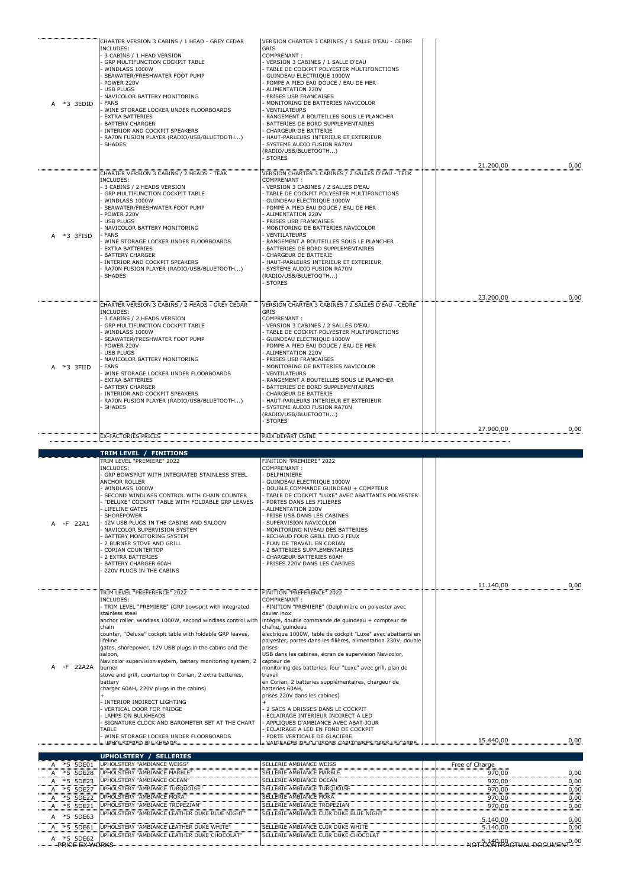| *3 3EDID                                                                                             | CHARTER VERSION 3 CABINS / 1 HEAD - GREY CEDAR<br>INCLUDES:<br>3 CABINS / 1 HEAD VERSION<br>GRP MULTIFUNCTION COCKPIT TABLE<br>WINDLASS 1000W<br>SEAWATER/FRESHWATER FOOT PUMP<br>POWER 220V<br><b>USB PLUGS</b><br>NAVICOLOR BATTERY MONITORING<br><b>FANS</b><br>WINE STORAGE LOCKER UNDER FLOORBOARDS<br><b>EXTRA BATTERIES</b><br><b>BATTERY CHARGER</b><br>INTERIOR AND COCKPIT SPEAKERS<br>RA70N FUSION PLAYER (RADIO/USB/BLUETOOTH)<br><b>SHADES</b>                                                                                                                                                                                                                                                                     | VERSION CHARTER 3 CABINES / 1 SALLE D'EAU - CEDRE<br>GRIS<br>COMPRENANT:<br>VERSION 3 CABINES / 1 SALLE D'EAU<br>TABLE DE COCKPIT POLYESTER MULTIFONCTIONS<br>GUINDEAU ELECTRIOUE 1000W<br>POMPE A PIED EAU DOUCE / EAU DE MER<br>ALIMENTATION 220V<br>PRISES USB FRANCAISES<br>MONITORING DE BATTERIES NAVICOLOR<br>VENTILATEURS<br>RANGEMENT A BOUTEILLES SOUS LE PLANCHER<br>BATTERIES DE BORD SUPPLEMENTAIRES<br>CHARGEUR DE BATTERIE<br>HAUT-PARLEURS INTERIEUR ET EXTERIEUR<br>SYSTEME AUDIO FUSION RA70N<br>(RADIO/USB/BLUETOOTH)<br><b>STORES</b>                                                                                                                                                                                                                             | 21.200,00                                                        | 0,00                                 |
|------------------------------------------------------------------------------------------------------|---------------------------------------------------------------------------------------------------------------------------------------------------------------------------------------------------------------------------------------------------------------------------------------------------------------------------------------------------------------------------------------------------------------------------------------------------------------------------------------------------------------------------------------------------------------------------------------------------------------------------------------------------------------------------------------------------------------------------------|---------------------------------------------------------------------------------------------------------------------------------------------------------------------------------------------------------------------------------------------------------------------------------------------------------------------------------------------------------------------------------------------------------------------------------------------------------------------------------------------------------------------------------------------------------------------------------------------------------------------------------------------------------------------------------------------------------------------------------------------------------------------------------------|------------------------------------------------------------------|--------------------------------------|
| *3 3FI5D<br>А                                                                                        | CHARTER VERSION 3 CABINS / 2 HEADS - TEAK<br>INCLUDES:<br>3 CABINS / 2 HEADS VERSION<br>GRP MULTIFUNCTION COCKPIT TABLE<br>WINDLASS 1000W<br>SEAWATER/FRESHWATER FOOT PUMP<br>POWER 220V<br><b>USB PLUGS</b><br>NAVICOLOR BATTERY MONITORING<br><b>FANS</b><br>WINE STORAGE LOCKER UNDER FLOORBOARDS<br><b>EXTRA BATTERIES</b><br><b>BATTERY CHARGER</b><br>INTERIOR AND COCKPIT SPEAKERS<br>RA70N FUSION PLAYER (RADIO/USB/BLUETOOTH)<br><b>SHADES</b>                                                                                                                                                                                                                                                                         | VERSION CHARTER 3 CABINES / 2 SALLES D'EAU - TECK<br>COMPRENANT:<br>VERSION 3 CABINES / 2 SALLES D'EAU<br>TABLE DE COCKPIT POLYESTER MULTIFONCTIONS<br>GUINDEAU ELECTRIQUE 1000W<br>POMPE A PIED EAU DOUCE / EAU DE MER<br>ALIMENTATION 220V<br>PRISES USB FRANCAISES<br>MONITORING DE BATTERIES NAVICOLOR<br>VENTILATEURS<br>RANGEMENT A BOUTEILLES SOUS LE PLANCHER<br>BATTERIES DE BORD SUPPLEMENTAIRES<br>CHARGEUR DE BATTERIE<br>HAUT-PARLEURS INTERIEUR ET EXTERIEUR<br>SYSTEME AUDIO FUSION RA70N<br>(RADIO/USB/BLUETOOTH)<br><b>STORES</b>                                                                                                                                                                                                                                    |                                                                  |                                      |
| *3 3FIID<br>A                                                                                        | CHARTER VERSION 3 CABINS / 2 HEADS - GREY CEDAR<br>INCLUDES:<br>3 CABINS / 2 HEADS VERSION<br>GRP MULTIFUNCTION COCKPIT TABLE<br>WINDLASS 1000W<br>SEAWATER/FRESHWATER FOOT PUMP<br>POWER 220V<br><b>USB PLUGS</b><br>NAVICOLOR BATTERY MONITORING<br><b>FANS</b><br>WINE STORAGE LOCKER UNDER FLOORBOARDS<br><b>EXTRA BATTERIES</b><br><b>BATTERY CHARGER</b><br>INTERIOR AND COCKPIT SPEAKERS<br>RA70N FUSION PLAYER (RADIO/USB/BLUETOOTH)<br><b>SHADES</b>                                                                                                                                                                                                                                                                   | VERSION CHARTER 3 CABINES / 2 SALLES D'EAU - CEDRE<br><b>GRIS</b><br>COMPRENANT:<br>VERSION 3 CABINES / 2 SALLES D'EAU<br>TABLE DE COCKPIT POLYESTER MULTIFONCTIONS<br>GUINDEAU ELECTRIQUE 1000W<br>POMPE A PIED EAU DOUCE / EAU DE MER<br>ALIMENTATION 220V<br>PRISES USB FRANCAISES<br>MONITORING DE BATTERIES NAVICOLOR<br>VENTILATEURS<br>RANGEMENT A BOUTEILLES SOUS LE PLANCHER<br>BATTERIES DE BORD SUPPLEMENTAIRES<br>CHARGEUR DE BATTERIE<br>HAUT-PARLEURS INTERIEUR ET EXTERIEUR<br>SYSTEME AUDIO FUSION RA70N<br>(RADIO/USB/BLUETOOTH)<br><b>STORES</b>                                                                                                                                                                                                                    | 23.200,00<br>27.900,00                                           | 0,00                                 |
|                                                                                                      | <b>EX-FACTORIES PRICES</b>                                                                                                                                                                                                                                                                                                                                                                                                                                                                                                                                                                                                                                                                                                      | PRIX DEPART USINE                                                                                                                                                                                                                                                                                                                                                                                                                                                                                                                                                                                                                                                                                                                                                                     |                                                                  | 0,00                                 |
|                                                                                                      | TRIM LEVEL / FINITIONS                                                                                                                                                                                                                                                                                                                                                                                                                                                                                                                                                                                                                                                                                                          |                                                                                                                                                                                                                                                                                                                                                                                                                                                                                                                                                                                                                                                                                                                                                                                       |                                                                  |                                      |
|                                                                                                      | TRIM LEVEL "PREMIERE" 2022<br><b>INCLUDES:</b><br>GRP BOWSPRIT WITH INTEGRATED STAINLESS STEEL                                                                                                                                                                                                                                                                                                                                                                                                                                                                                                                                                                                                                                  | FINITION "PREMIERE" 2022<br>COMPRENANT:<br>DELPHINIERE                                                                                                                                                                                                                                                                                                                                                                                                                                                                                                                                                                                                                                                                                                                                |                                                                  |                                      |
| -F 22A1                                                                                              | ANCHOR ROLLER<br>WINDLASS 1000W<br>SECOND WINDLASS CONTROL WITH CHAIN COUNTER<br>"DELUXE" COCKPIT TABLE WITH FOLDABLE GRP LEAVES<br>LIFELINE GATES<br>SHOREPOWER<br>12V USB PLUGS IN THE CABINS AND SALOON<br>NAVICOLOR SUPERVISION SYSTEM<br>BATTERY MONITORING SYSTEM<br>2 BURNER STOVE AND GRILL<br>CORIAN COUNTERTOP<br>2 EXTRA BATTERIES<br>BATTERY CHARGER 60AH<br>220V PLUGS IN THE CABINS                                                                                                                                                                                                                                                                                                                               | GUINDEAU ELECTRIQUE 1000W<br>DOUBLE COMMANDE GUINDEAU + COMPTEUR<br>TABLE DE COCKPIT "LUXE" AVEC ABATTANTS POLYESTER<br>PORTES DANS LES FILIERES<br>ALIMENTATION 230V<br>PRISE USB DANS LES CABINES<br>SUPERVISION NAVICOLOR<br>MONITORING NIVEAU DES BATTERIES<br>RECHAUD FOUR GRILL ENO 2 FEUX<br>PLAN DE TRAVAIL EN CORIAN<br>2 BATTERIES SUPPLEMENTAIRES<br>CHARGEUR BATTERIES 60AH<br>PRISES 220V DANS LES CABINES                                                                                                                                                                                                                                                                                                                                                               |                                                                  |                                      |
| -F 22A2A<br>А                                                                                        | TRIM LEVEL "PREFERENCE" 2022<br><b>INCLUDES:</b><br>TRIM LEVEL "PREMIERE" (GRP bowsprit with integrated<br>stainless steel<br>anchor roller, windlass 1000W, second windlass control with<br>chain<br>counter, "Deluxe" cockpit table with foldable GRP leaves,<br>lifeline<br>gates, shorepower, 12V USB plugs in the cabins and the<br>saloon,<br>Navicolor supervision system, battery monitoring system, 2<br>burner<br>stove and grill, countertop in Corian, 2 extra batteries,<br>battery<br>charger 60AH, 220V plugs in the cabins)<br>INTERIOR INDIRECT LIGHTING<br>VERTICAL DOOR FOR FRIDGE<br>LAMPS ON BULKHEADS<br>SIGNATURE CLOCK AND BAROMETER SET AT THE CHART<br>TABLE<br>WINE STORAGE LOCKER UNDER FLOORBOARDS | FINITION "PREFERENCE" 2022<br>COMPRENANT:<br>- FINITION "PREMIERE" (Delphinière en polyester avec<br>davier inox<br>intégré, double commande de guindeau + compteur de<br>chaîne, guindeau<br>électrique 1000W, table de cockpit "Luxe" avec abattants en<br>polyester, portes dans les filières, alimentation 230V, double<br>prises<br>USB dans les cabines, écran de supervision Navicolor,<br>capteur de<br>monitoring des batteries, four "Luxe" avec grill, plan de<br>travail<br>en Corian, 2 batteries supplémentaires, chargeur de<br>batteries 60AH,<br>prises 220V dans les cabines)<br>2 SACS A DRISSES DANS LE COCKPIT<br>ECLAIRAGE INTERIEUR INDIRECT A LED<br>APPLIQUES D'AMBIANCE AVEC ABAT-JOUR<br>ECLAIRAGE A LED EN FOND DE COCKPIT<br>PORTE VERTICALE DE GLACIERE | 11.140,00                                                        | 0,00                                 |
|                                                                                                      | <u>TIBHUI STEBED BULKHEADE</u>                                                                                                                                                                                                                                                                                                                                                                                                                                                                                                                                                                                                                                                                                                  | WAIGRAGES DE CLOISONS CARITONMES DAMS LE CARRE                                                                                                                                                                                                                                                                                                                                                                                                                                                                                                                                                                                                                                                                                                                                        | 15.440,00                                                        | 0,00                                 |
| *5 5DE01<br>*5 5DE28<br>*5 5DE23<br>Α.<br>*5 5DE27<br>А<br>*5 5DE22<br>A<br>A *5 5DE21<br>A *5 5DE63 | <b>UPHOLSTERY / SELLERIES</b><br>UPHOLSTERY "AMBIANCE WEISS'<br>UPHOLSTERY "AMBIANCE MARBLE"<br>UPHOLSTERY "AMBIANCE OCEAN"<br>UPHOLSTERY "AMBIANCE TURQUOISE"<br>UPHOLSTERY "AMBIANCE MOKA"<br>UPHOLSTERY "AMBIANCE TROPEZIAN"<br>UPHOLSTERY "AMBIANCE LEATHER DUKE BLUE NIGHT                                                                                                                                                                                                                                                                                                                                                                                                                                                 | SELLERIE AMBIANCE WEISS<br>SELLERIE AMBIANCE MARBLE<br>SELLERIE AMBIANCE OCEAN<br>SELLERIE AMBIANCE TURQUOISE<br>SELLERIE AMBIANCE MOKA<br>SELLERIE AMBIANCE TROPEZIAN<br>SELLERIE AMBIANCE CUIR DUKE BLUE NIGHT                                                                                                                                                                                                                                                                                                                                                                                                                                                                                                                                                                      | Free of Charge<br>970,00<br>970,00<br>970,00<br>970,00<br>970,00 | 0,00<br>0,00<br>0,00<br>0,00<br>0,00 |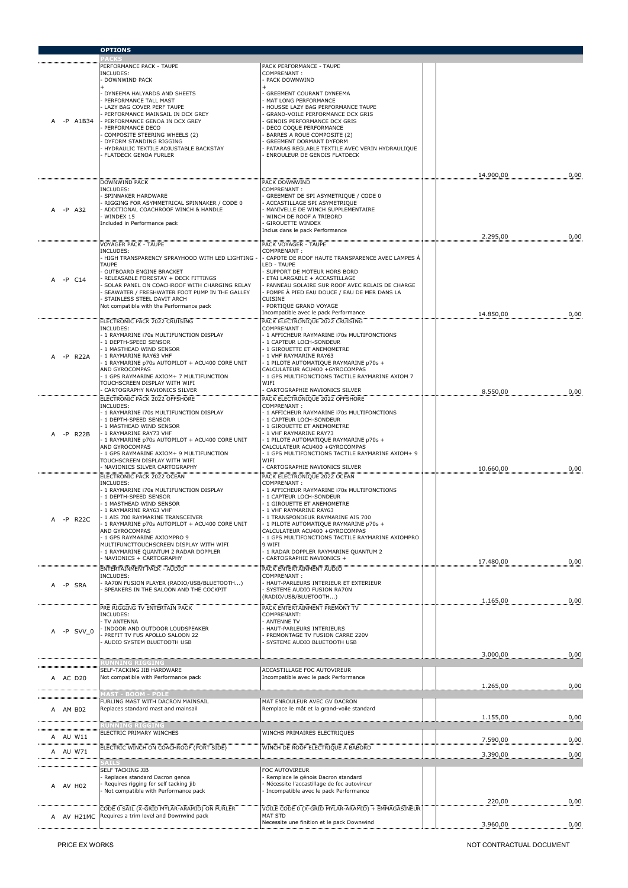|                 | <b>OPTIONS</b>                                                                                |                                                                                               |           |      |
|-----------------|-----------------------------------------------------------------------------------------------|-----------------------------------------------------------------------------------------------|-----------|------|
|                 | PERFORMANCE PACK - TAUPE                                                                      | PACK PERFORMANCE - TAUPE                                                                      |           |      |
|                 | INCLUDES:                                                                                     | COMPRENANT:                                                                                   |           |      |
|                 | DOWNWIND PACK                                                                                 | PACK DOWNWIND                                                                                 |           |      |
|                 | DYNEEMA HALYARDS AND SHEETS<br>PERFORMANCE TALL MAST                                          | GREEMENT COURANT DYNEEMA<br>MAT LONG PERFORMANCE                                              |           |      |
|                 | LAZY BAG COVER PERF TAUPE                                                                     | HOUSSE LAZY BAG PERFORMANCE TAUPE                                                             |           |      |
| -P A1B34        | PERFORMANCE MAINSAIL IN DCX GREY<br>PERFORMANCE GENOA IN DCX GREY                             | GRAND-VOILE PERFORMANCE DCX GRIS<br>GENOIS PERFORMANCE DCX GRIS                               |           |      |
|                 | PERFORMANCE DECO                                                                              | DECO COQUE PERFORMANCE                                                                        |           |      |
|                 | COMPOSITE STEERING WHEELS (2)<br>DYFORM STANDING RIGGING                                      | BARRES A ROUE COMPOSITE (2)<br>GREEMENT DORMANT DYFORM                                        |           |      |
|                 | HYDRAULIC TEXTILE ADJUSTABLE BACKSTAY<br>FLATDECK GENOA FURLER                                | PATARAS REGLABLE TEXTILE AVEC VERIN HYDRAULIQUE<br>ENROULEUR DE GENOIS FLATDECK               |           |      |
|                 |                                                                                               |                                                                                               |           |      |
|                 |                                                                                               |                                                                                               | 14.900,00 | 0,00 |
|                 | DOWNWIND PACK<br>INCLUDES:                                                                    | PACK DOWNWIND<br>COMPRENANT:                                                                  |           |      |
|                 | SPINNAKER HARDWARE                                                                            | GREEMENT DE SPI ASYMETRIQUE / CODE 0                                                          |           |      |
| -P A32          | RIGGING FOR ASYMMETRICAL SPINNAKER / CODE 0<br>ADDITIONAL COACHROOF WINCH & HANDLE            | ACCASTILLAGE SPI ASYMETRIQUE<br>MANIVELLE DE WINCH SUPPLEMENTAIRE                             |           |      |
|                 | WINDEX 15<br>Included in Performance pack                                                     | WINCH DE ROOF A TRIBORD<br><b>GIROUETTE WINDEX</b>                                            |           |      |
|                 |                                                                                               | Inclus dans le pack Performance                                                               |           |      |
|                 | <b>VOYAGER PACK - TAUPE</b>                                                                   | PACK VOYAGER - TAUPE                                                                          | 2.295,00  | 0,00 |
|                 | INCLUDES:<br>HIGH TRANSPARENCY SPRAYHOOD WITH LED LIGHTING                                    | COMPRENANT:<br>· CAPOTE DE ROOF HAUTE TRANSPARENCE AVEC LAMPES À                              |           |      |
|                 | TAUPE                                                                                         | LED - TAUPE                                                                                   |           |      |
| $-P$ $C14$<br>A | OUTBOARD ENGINE BRACKET<br>RELEASABLE FORESTAY + DECK FITTINGS                                | SUPPORT DE MOTEUR HORS BORD<br>ETAI LARGABLE + ACCASTILLAGE                                   |           |      |
|                 | SOLAR PANEL ON COACHROOF WITH CHARGING RELAY<br>SEAWATER / FRESHWATER FOOT PUMP IN THE GALLEY | PANNEAU SOLAIRE SUR ROOF AVEC RELAIS DE CHARGE<br>POMPE À PIED EAU DOUCE / EAU DE MER DANS LA |           |      |
|                 | STAINLESS STEEL DAVIT ARCH                                                                    | CUISINE                                                                                       |           |      |
|                 | Not compatible with the Performance pack                                                      | PORTIQUE GRAND VOYAGE<br>Incompatible avec le pack Performance                                | 14.850.00 | 0,00 |
|                 | ELECTRONIC PACK 2022 CRUISING                                                                 | PACK ELECTRONIQUE 2022 CRUISING                                                               |           |      |
|                 | INCLUDES:<br>1 RAYMARINE 170s MULTIFUNCTION DISPLAY                                           | COMPRENANT:<br>- 1 AFFICHEUR RAYMARINE i70s MULTIFONCTIONS                                    |           |      |
|                 | 1 DEPTH-SPEED SENSOR<br>1 MASTHEAD WIND SENSOR                                                | - 1 CAPTEUR LOCH-SONDEUR<br>- 1 GIROUETTE ET ANEMOMETRE                                       |           |      |
| -P R22A         | 1 RAYMARINE RAY63 VHF                                                                         | 1 VHF RAYMARINE RAY63                                                                         |           |      |
|                 | 1 RAYMARINE p70s AUTOPILOT + ACU400 CORE UNIT<br>AND GYROCOMPAS                               | - 1 PILOTE AUTOMATIQUE RAYMARINE p70s +<br>CALCULATEUR ACU400 +GYROCOMPAS                     |           |      |
|                 | 1 GPS RAYMARINE AXIOM+ 7 MULTIFUNCTION<br>TOUCHSCREEN DISPLAY WITH WIFI                       | - 1 GPS MULTIFONCTIONS TACTILE RAYMARINE AXIOM 7<br>WIFI                                      |           |      |
|                 | CARTOGRAPHY NAVIONICS SILVER                                                                  | CARTOGRAPHIE NAVIONICS SILVER                                                                 | 8.550,00  | 0,00 |
|                 | ELECTRONIC PACK 2022 OFFSHORE                                                                 | PACK ELECTRONIQUE 2022 OFFSHORE                                                               |           |      |
|                 | INCLUDES:<br>1 RAYMARINE 170s MULTIFUNCTION DISPLAY                                           | COMPRENANT:<br>- 1 AFFICHEUR RAYMARINE i70s MULTIFONCTIONS                                    |           |      |
|                 | 1 DEPTH-SPEED SENSOR<br>1 MASTHEAD WIND SENSOR                                                | 1 CAPTEUR LOCH-SONDEUR<br>- 1 GIROUETTE ET ANEMOMETRE                                         |           |      |
| -P R22B         | 1 RAYMARINE RAY73 VHF<br>1 RAYMARINE p70s AUTOPILOT + ACU400 CORE UNIT                        | - 1 VHF RAYMARINE RAY73<br>- 1 PILOTE AUTOMATIQUE RAYMARINE p70s +                            |           |      |
|                 | AND GYROCOMPAS                                                                                | CALCULATEUR ACU400 +GYROCOMPAS                                                                |           |      |
|                 | 1 GPS RAYMARINE AXIOM+ 9 MULTIFUNCTION<br>TOUCHSCREEN DISPLAY WITH WIFI                       | - 1 GPS MULTIFONCTIONS TACTILE RAYMARINE AXIOM+ 9<br>WIFI                                     |           |      |
|                 | NAVIONICS SILVER CARTOGRAPHY                                                                  | CARTOGRAPHIE NAVIONICS SILVER                                                                 | 10.660,00 | 0,00 |
|                 | ELECTRONIC PACK 2022 OCEAN<br>INCLUDES:                                                       | PACK ELECTRONIQUE 2022 OCEAN<br>COMPRENANT:                                                   |           |      |
|                 | - 1 RAYMARINE 170s MULTIFUNCTION DISPLAY<br>1 DEPTH-SPEED SENSOR                              | - 1 AFFICHEUR RAYMARINE i70s MULTIFONCTIONS<br>- 1 CAPTEUR LOCH-SONDEUR                       |           |      |
|                 | 1 MASTHEAD WIND SENSOR                                                                        | - 1 GIROUETTE ET ANEMOMETRE                                                                   |           |      |
| А<br>-P R22C    | 1 RAYMARINE RAY63 VHF<br>1 AIS 700 RAYMARINE TRANSCEIVER                                      | - 1 VHF RAYMARINE RAY63<br>1 TRANSPONDEUR RAYMARINE AIS 700                                   |           |      |
|                 | 1 RAYMARINE p70s AUTOPILOT + ACU400 CORE UNIT<br>AND GYROCOMPAS                               | 1 PILOTE AUTOMATIQUE RAYMARINE p70s +<br>CALCULATEUR ACU400 +GYROCOMPAS                       |           |      |
|                 | 1 GPS RAYMARINE AXIOMPRO 9                                                                    | - 1 GPS MULTIFONCTIONS TACTILE RAYMARINE AXIOMPRO                                             |           |      |
|                 | MULTIFUNCTTOUCHSCREEN DISPLAY WITH WIFI<br>1 RAYMARINE QUANTUM 2 RADAR DOPPLER                | 9 WIFI<br>1 RADAR DOPPLER RAYMARINE QUANTUM 2                                                 |           |      |
|                 | NAVIONICS + CARTOGRAPHY                                                                       | CARTOGRAPHIE NAVIONICS +                                                                      | 17.480,00 | 0,00 |
|                 | ENTERTAINMENT PACK - AUDIO<br>INCLUDES:                                                       | PACK ENTERTAINMENT AUDIO<br>COMPRENANT:                                                       |           |      |
| -P SRA<br>A     | RA70N FUSION PLAYER (RADIO/USB/BLUETOOTH)                                                     | HAUT-PARLEURS INTERIEUR ET EXTERIEUR                                                          |           |      |
|                 | SPEAKERS IN THE SALOON AND THE COCKPIT                                                        | SYSTEME AUDIO FUSION RA70N<br>(RADIO/USB/BLUETOOTH)                                           |           |      |
|                 | PRE RIGGING TV ENTERTAIN PACK                                                                 | PACK ENTERTAINMENT PREMONT TV                                                                 | 1.165,00  | 0,00 |
|                 | INCLUDES:<br>TV ANTENNA                                                                       | COMPRENANT:<br>ANTENNE TV                                                                     |           |      |
| -P SVV 0<br>A   | INDOOR AND OUTDOOR LOUDSPEAKER                                                                | HAUT-PARLEURS INTERIEURS                                                                      |           |      |
|                 | PREFIT TV FUS APOLLO SALOON 22<br>AUDIO SYSTEM BLUETOOTH USB                                  | PREMONTAGE TV FUSION CARRE 220V<br>SYSTEME AUDIO BLUETOOTH USB                                |           |      |
|                 |                                                                                               |                                                                                               | 3.000,00  | 0,00 |
|                 | <b>UNNING RIGGING</b>                                                                         |                                                                                               |           |      |
| A AC D20        | SELF-TACKING JIB HARDWARE<br>Not compatible with Performance pack                             | ACCASTILLAGE FOC AUTOVIREUR<br>Incompatible avec le pack Performance                          |           |      |
|                 |                                                                                               |                                                                                               | 1.265,00  | 0,00 |
|                 | IAST - BOOM - <u>POLE</u><br>FURLING MAST WITH DACRON MAINSAIL                                | MAT ENROULEUR AVEC GV DACRON                                                                  |           |      |
| A AM B02        | Replaces standard mast and mainsail                                                           | Remplace le mât et la grand-voile standard                                                    |           |      |
|                 | www.www.www.www.www.ww                                                                        |                                                                                               | 1.155,00  | 0,00 |
|                 | ELECTRIC PRIMARY WINCHES                                                                      | WINCHS PRIMAIRES ELECTRIQUES                                                                  |           |      |
| A AU W11        | ELECTRIC WINCH ON COACHROOF (PORT SIDE)                                                       | WINCH DE ROOF ELECTRIQUE A BABORD                                                             | 7.590,00  | 0,00 |
| AU W71<br>A     |                                                                                               |                                                                                               | 3.390,00  | 0,00 |
|                 | SATIS<br>SELF TACKING JIB                                                                     | FOC AUTOVIREUR                                                                                |           |      |
|                 | Replaces standard Dacron genoa                                                                | Remplace le génois Dacron standard                                                            |           |      |
| A AV H02        | Requires rigging for self tacking jib<br>Not compatible with Performance pack                 | Nécessite l'accastillage de foc autovireur<br>Incompatible avec le pack Performance           |           |      |
|                 |                                                                                               |                                                                                               | 220,00    | 0,00 |
|                 | CODE 0 SAIL (X-GRID MYLAR-ARAMID) ON FURLER<br>Requires a trim level and Downwind pack        | VOILE CODE 0 (X-GRID MYLAR-ARAMID) + EMMAGASINEUR<br><b>MAT STD</b>                           |           |      |
| A AV H21MC      |                                                                                               | Necessite une finition et le pack Downwind                                                    | 3.960,00  | 0,00 |
|                 |                                                                                               |                                                                                               |           |      |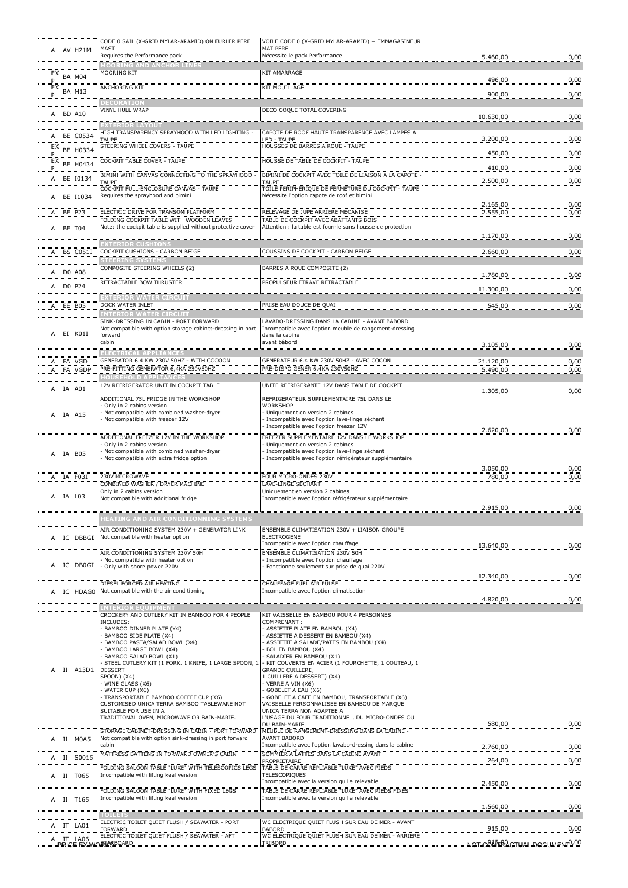| A AV H21ML                 | CODE 0 SAIL (X-GRID MYLAR-ARAMID) ON FURLER PERF<br>MAST                                                        | VOILE CODE 0 (X-GRID MYLAR-ARAMID) + EMMAGASINEUR<br>MAT PERF                                                              |                                                 |      |
|----------------------------|-----------------------------------------------------------------------------------------------------------------|----------------------------------------------------------------------------------------------------------------------------|-------------------------------------------------|------|
|                            | Requires the Performance pack                                                                                   | Nécessite le pack Performance                                                                                              | 5.460,00                                        | 0,00 |
| EX<br><b>BA M04</b>        | OORING AND ANCHOR LINES<br><b>MOORING KIT</b>                                                                   | KIT AMARRAGE                                                                                                               |                                                 |      |
| $P_{EX}$                   | <b>ANCHORING KIT</b>                                                                                            | KIT MOUILLAGE                                                                                                              | 496,00                                          | 0,00 |
| <b>BA M13</b><br>Р.        | DECORATION                                                                                                      |                                                                                                                            | 900,00                                          | 0,00 |
| A BD A10                   | VINYL HULL WRAP                                                                                                 | DECO COQUE TOTAL COVERING                                                                                                  | 10.630,00                                       | 0,00 |
|                            |                                                                                                                 |                                                                                                                            |                                                 |      |
| A BE C0534                 | HIGH TRANSPARENCY SPRAYHOOD WITH LED<br>TAUPE                                                                   | CAPOTE DE ROOF HAUTE TRANSPARENCE AVEC LAMPES A<br>ED - TAUPE                                                              | 3.200,00                                        | 0,00 |
| BE H0334<br>P              | STEERING WHEEL COVERS - TAUPE                                                                                   | HOUSSES DE BARRES A ROUE - TAUPE                                                                                           | 450,00                                          | 0,00 |
| EX<br>BE H0434             | COCKPIT TABLE COVER - TAUPE                                                                                     | HOUSSE DE TABLE DE COCKPIT - TAUPE                                                                                         | 410,00                                          | 0,00 |
| A BE I0134                 | BIMINI WITH CANVAS CONNECTING TO THE SPRAYHOOD<br>TAUPE                                                         | BIMINI DE COCKPIT AVEC TOILE DE LIAISON A LA CAPOTE<br>TAUPE                                                               | 2.500,00                                        | 0,00 |
| A BE I1034                 | COCKPIT FULL-ENCLOSURE CANVAS - TAUPE<br>Requires the sprayhood and bimini                                      | TOILE PERIPHERIQUE DE FERMETURE DU COCKPIT - TAUPE<br>Nécessite l'option capote de roof et bimini                          | 2.165,00                                        | 0,00 |
| BE P23<br>Α                | ELECTRIC DRIVE FOR TRANSOM PLATFORM<br>FOLDING COCKPIT TABLE WITH WOODEN LEAVES                                 | RELEVAGE DE JUPE ARRIERE MECANISE<br>TABLE DE COCKPIT AVEC ABATTANTS BOIS                                                  | 2.555,00                                        | 0,00 |
| A BE T04                   | Note: the cockpit table is supplied without protective cover                                                    | Attention : la table est fournie sans housse de protection                                                                 |                                                 |      |
|                            | <b>EXTERIOR CUSHIONS</b>                                                                                        |                                                                                                                            | 1.170,00                                        | 0,00 |
| BS C051I<br>A.             | COCKPIT CUSHIONS - CARBON BEIGE                                                                                 | COUSSINS DE COCKPIT - CARBON BEIGE                                                                                         | 2.660,00                                        | 0,00 |
| A DO A08                   | COMPOSITE STEERING WHEELS (2)                                                                                   | BARRES A ROUE COMPOSITE (2)                                                                                                | 1.780,00                                        | 0,00 |
| A DO P24                   | RETRACTABLE BOW THRUSTER                                                                                        | PROPULSEUR ETRAVE RETRACTABLE                                                                                              |                                                 |      |
|                            | <b>EXTERIOR WATER CIRCUIT</b>                                                                                   |                                                                                                                            | 11.300,00                                       | 0,00 |
| A EE B05                   | DOCK WATER INLET<br><u>INTERIOR WATER CIRCUIT</u>                                                               | PRISE EAU DOUCE DE QUAI                                                                                                    | 545,00                                          | 0,00 |
| EI KO1I<br>A               | SINK-DRESSING IN CABIN - PORT FORWARD<br>Not compatible with option storage cabinet-dressing in port<br>forward | LAVABO-DRESSING DANS LA CABINE - AVANT BABORD<br>Incompatible avec l'option meuble de rangement-dressing<br>dans la cabine |                                                 |      |
|                            | cabin                                                                                                           | avant bâbord                                                                                                               | 3.105,00                                        | 0,00 |
| A FA VGD                   | GENERATOR 6.4 KW 230V 50HZ - WITH COCOON<br>PRE-FITTING GENERATOR 6,4KA 230V50HZ                                | GENERATEUR 6.4 KW 230V 50HZ - AVEC COCON<br>PRE-DISPO GENER 6,4KA 230V50HZ                                                 | 21.120,00                                       | 0,00 |
| FA VGDP<br>A               | <b>IOUSEHOLD APPLIANCES</b>                                                                                     |                                                                                                                            | 5.490,00                                        | 0,00 |
| A IA A01                   | 12V REFRIGERATOR UNIT IN COCKPIT TABLE                                                                          | UNITE REFRIGERANTE 12V DANS TABLE DE COCKPIT                                                                               | 1.305,00                                        | 0,00 |
|                            | ADDITIONAL 75L FRIDGE IN THE WORKSHOP<br>Only in 2 cabins version                                               | REFRIGERATEUR SUPPLEMENTAIRE 75L DANS LE<br>WORKSHOP                                                                       |                                                 |      |
| A IA A15                   | Not compatible with combined washer-dryer<br>Not compatible with freezer 12V                                    | Uniquement en version 2 cabines<br>Incompatible avec l'option lave-linge séchant                                           |                                                 |      |
|                            |                                                                                                                 | Incompatible avec l'option freezer 12V                                                                                     | 2.620,00                                        | 0,00 |
|                            | ADDITIONAL FREEZER 12V IN THE WORKSHOP<br>Only in 2 cabins version                                              | FREEZER SUPPLEMENTAIRE 12V DANS LE WORKSHOP<br>Uniquement en version 2 cabines                                             |                                                 |      |
| A IA B05                   | Not compatible with combined washer-dryer<br>Not compatible with extra fridge option                            | Incompatible avec l'option lave-linge séchant<br>Incompatible avec l'option réfrigérateur supplémentaire                   |                                                 |      |
|                            |                                                                                                                 |                                                                                                                            | 3.050,00                                        | 0,00 |
| A IA F03I                  | 230V MICROWAVE<br>COMBINED WASHER / DRYER MACHINE                                                               | FOUR MICRO-ONDES 230V<br>LAVE-LINGE SECHANT                                                                                | 780,00                                          | 0,00 |
| A IA L03                   | Only in 2 cabins version<br>Not compatible with additional fridge                                               | Uniquement en version 2 cabines<br>Incompatible avec l'option réfrigérateur supplémentaire                                 |                                                 |      |
|                            |                                                                                                                 |                                                                                                                            | 2.915,00                                        | 0,00 |
|                            | <b>IEATING AND AIR CONDITIONNING SYSTEMS</b><br>AIR CONDITIONING SYSTEM 230V + GENERATOR LINK                   | ENSEMBLE CLIMATISATION 230V + LIAISON GROUPE                                                                               |                                                 |      |
| IC DBBGI                   | Not compatible with heater option                                                                               | <b>ELECTROGENE</b>                                                                                                         |                                                 |      |
|                            | AIR CONDITIONING SYSTEM 230V 50H                                                                                | Incompatible avec l'option chauffage<br><b>ENSEMBLE CLIMATISATION 230V 50H</b>                                             | 13.640,00                                       | 0,00 |
| A IC DB0GI                 | Not compatible with heater option<br>Only with shore power 220V                                                 | - Incompatible avec l'option chauffage<br>Fonctionne seulement sur prise de quai 220V                                      |                                                 |      |
|                            |                                                                                                                 |                                                                                                                            | 12.340,00                                       | 0,00 |
| A IC HDAG0                 | DIESEL FORCED AIR HEATING<br>Not compatible with the air conditioning                                           | CHAUFFAGE FUEL AIR PULSE<br>Incompatible avec l'option climatisation                                                       |                                                 |      |
|                            | <b>INTERIOR EOUIPMENT</b>                                                                                       |                                                                                                                            | 4.820,00                                        | 0,00 |
|                            | CROCKERY AND CUTLERY KIT IN BAMBOO FOR 4 PEOPLE<br>INCLUDES:                                                    | KIT VAISSELLE EN BAMBOU POUR 4 PERSONNES<br>COMPRENANT:                                                                    |                                                 |      |
|                            | BAMBOO DINNER PLATE (X4)<br>BAMBOO SIDE PLATE (X4)                                                              | - ASSIETTE PLATE EN BAMBOU (X4)<br>ASSIETTE A DESSERT EN BAMBOU (X4)                                                       |                                                 |      |
|                            | BAMBOO PASTA/SALAD BOWL (X4)<br>BAMBOO LARGE BOWL (X4)                                                          | ASSIETTE A SALADE/PATES EN BAMBOU (X4)<br>BOL EN BAMBOU (X4)                                                               |                                                 |      |
|                            | BAMBOO SALAD BOWL (X1)<br>STEEL CUTLERY KIT (1 FORK, 1 KNIFE, 1 LARGE SPOON, 1                                  | SALADIER EN BAMBOU (X1)<br>KIT COUVERTS EN ACIER (1 FOURCHETTE, 1 COUTEAU, 1                                               |                                                 |      |
| II A13D1<br>A              | <b>DESSERT</b><br>SPOON) (X4)                                                                                   | <b>GRANDE CUILLERE,</b><br>1 CUILLERE A DESSERT) (X4)                                                                      |                                                 |      |
|                            | WINE GLASS (X6)<br>WATER CUP (X6)                                                                               | VERRE A VIN (X6)<br>GOBELET A EAU (X6)                                                                                     |                                                 |      |
|                            | TRANSPORTABLE BAMBOO COFFEE CUP (X6)<br>CUSTOMISED UNICA TERRA BAMBOO TABLEWARE NOT                             | GOBELET A CAFE EN BAMBOU, TRANSPORTABLE (X6)<br>VAISSELLE PERSONNALISEE EN BAMBOU DE MARQUE                                |                                                 |      |
|                            | SUITABLE FOR USE IN A                                                                                           | UNICA TERRA NON ADAPTEE A                                                                                                  |                                                 |      |
|                            | TRADITIONAL OVEN, MICROWAVE OR BAIN-MARIE.                                                                      | L'USAGE DU FOUR TRADITIONNEL, DU MICRO-ONDES OU<br>DU BAIN-MARIE.                                                          | 580,00                                          | 0,00 |
| A II MOA5                  | STORAGE CABINET-DRESSING IN CABIN - PORT FORWARD<br>Not compatible with option sink-dressing in port forward    | MEUBLE DE RANGEMENT-DRESSING DANS LA CABINE -<br><b>AVANT BABORD</b>                                                       |                                                 |      |
|                            | cabin<br>MATTRESS BATTENS IN FORWARD OWNER'S CABIN                                                              | Incompatible avec l'option lavabo-dressing dans la cabine<br>SOMMIER A LATTES DANS LA CABINE AVANT                         | 2.760,00                                        | 0,00 |
| A II S0015                 | FOLDING SALOON TABLE "LUXE" WITH TELESCOPICS LEGS                                                               | PROPRIETAIRE<br>TABLE DE CARRE REPLIABLE "LUXE" AVEC PIEDS                                                                 | 264,00                                          | 0,00 |
| A II T065                  | Incompatible with lifting keel version                                                                          | <b>TELESCOPIQUES</b><br>Incompatible avec la version quille relevable                                                      | 2.450,00                                        | 0,00 |
|                            | FOLDING SALOON TABLE "LUXE" WITH FIXED LEGS                                                                     | TABLE DE CARRE REPLIABLE "LUXE" AVEC PIEDS FIXES                                                                           |                                                 |      |
| A II T165                  | Incompatible with lifting keel version                                                                          | Incompatible avec la version quille relevable                                                                              | 1.560,00                                        | 0,00 |
|                            | <b>TOILETS</b><br>ELECTRIC TOILET QUIET FLUSH / SEAWATER - PORT                                                 | WC ELECTRIQUE QUIET FLUSH SUR EAU DE MER - AVANT                                                                           |                                                 |      |
| IT LA01                    | FORWARD<br>ELECTRIC TOILET QUIET FLUSH / SEAWATER - AFT                                                         | <b>BABORD</b><br>WC ELECTRIQUE QUIET FLUSH SUR EAU DE MER - ARRIERE                                                        | 915,00                                          | 0,00 |
| IT LA06<br>Α<br>PRICE EX W | <b>STARBOARD</b>                                                                                                | TRIBORD                                                                                                                    | <u>NOT CAIFFRACTUAL DOCUMENT<sup>0,00</sup></u> |      |